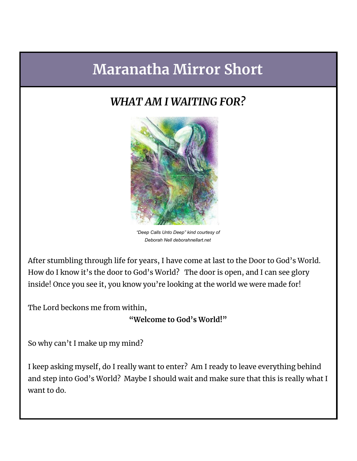# **Maranatha Mirror Short**

## *WHAT AM I WAITING FOR?*



*"Deep Calls Unto Deep" kind courtesy of Deborah Nell deborahnellart.net*

After stumbling through life for years, I have come at last to the Door to God's World. How do I know it's the door to God's World? The door is open, and I can see glory inside! Once you see it, you know you're looking at the world we were made for!

The Lord beckons me from within,

**"Welcome to God's World!"**

So why can't I make up my mind?

I keep asking myself, do I really want to enter? Am I ready to leave everything behind and step into God's World? Maybe I should wait and make sure that this is really what I want to do.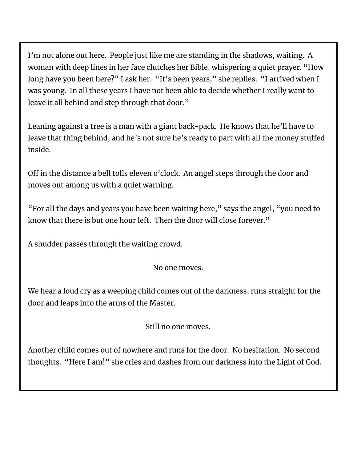I'm not alone out here. People just like me are standing in the shadows, waiting. A woman with deep lines in her face clutches her Bible, whispering a quiet prayer. "How long have you been here?" I ask her. "It's been years," she replies. "I arrived when I was young. In all these years I have not been able to decide whether I really want to leave it all behind and step through that door."

Leaning against a tree is a man with a giant back-pack. He knows that he'll have to leave that thing behind, and he's not sure he's ready to part with all the money stuffed inside.

Off in the distance a bell tolls eleven o'clock. An angel steps through the door and moves out among us with a quiet warning.

"For all the days and years you have been waiting here," says the angel, "you need to know that there is but one hour left. Then the door will close forever."

A shudder passes through the waiting crowd.

No one moves.

We hear a loud cry as a weeping child comes out of the darkness, runs straight for the door and leaps into the arms of the Master.

Still no one moves.

Another child comes out of nowhere and runs for the door. No hesitation. No second thoughts. "Here I am!" she cries and dashes from our darkness into the Light of God.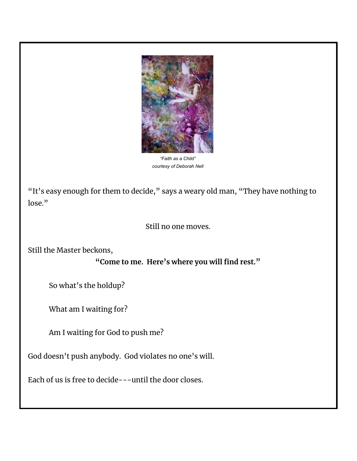

*"Faith as a Child" courtesy of Deborah Nell*

"It's easy enough for them to decide," says a weary old man, "They have nothing to lose."

### Still no one moves.

Still the Master beckons,

### **"Come to me. Here's where you will find rest."**

So what's the holdup?

What am I waiting for?

Am I waiting for God to push me?

God doesn't push anybody. God violates no one's will.

Each of us is free to decide---until the door closes.